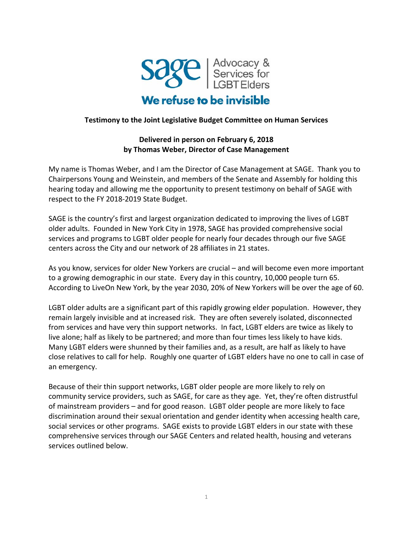

## **Testimony to the Joint Legislative Budget Committee on Human Services**

# **Delivered in person on February 6, 2018 by Thomas Weber, Director of Case Management**

My name is Thomas Weber, and I am the Director of Case Management at SAGE. Thank you to Chairpersons Young and Weinstein, and members of the Senate and Assembly for holding this hearing today and allowing me the opportunity to present testimony on behalf of SAGE with respect to the FY 2018-2019 State Budget.

SAGE is the country's first and largest organization dedicated to improving the lives of LGBT older adults. Founded in New York City in 1978, SAGE has provided comprehensive social services and programs to LGBT older people for nearly four decades through our five SAGE centers across the City and our network of 28 affiliates in 21 states.

As you know, services for older New Yorkers are crucial – and will become even more important to a growing demographic in our state. Every day in this country, 10,000 people turn 65. According to LiveOn New York, by the year 2030, 20% of New Yorkers will be over the age of 60.

LGBT older adults are a significant part of this rapidly growing elder population. However, they remain largely invisible and at increased risk. They are often severely isolated, disconnected from services and have very thin support networks. In fact, LGBT elders are twice as likely to live alone; half as likely to be partnered; and more than four times less likely to have kids. Many LGBT elders were shunned by their families and, as a result, are half as likely to have close relatives to call for help. Roughly one quarter of LGBT elders have no one to call in case of an emergency.

Because of their thin support networks, LGBT older people are more likely to rely on community service providers, such as SAGE, for care as they age. Yet, they're often distrustful of mainstream providers – and for good reason. LGBT older people are more likely to face discrimination around their sexual orientation and gender identity when accessing health care, social services or other programs. SAGE exists to provide LGBT elders in our state with these comprehensive services through our SAGE Centers and related health, housing and veterans services outlined below.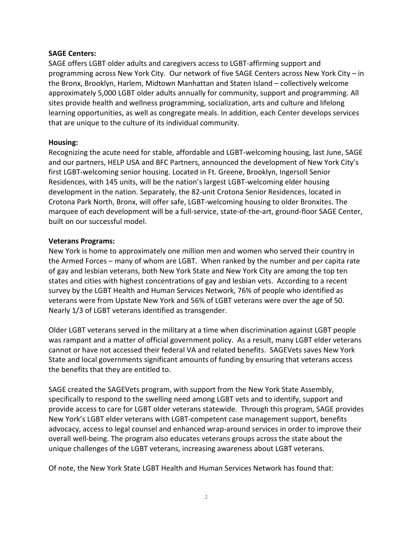### **SAGE Centers:**

SAGE offers LGBT older adults and caregivers access to LGBT-affirming support and programming across New York City. Our network of five SAGE Centers across New York City – in the Bronx, Brooklyn, Harlem, Midtown Manhattan and Staten Island – collectively welcome approximately 5,000 LGBT older adults annually for community, support and programming. All sites provide health and wellness programming, socialization, arts and culture and lifelong learning opportunities, as well as congregate meals. In addition, each Center develops services that are unique to the culture of its individual community.

### **Housing:**

Recognizing the acute need for stable, affordable and LGBT-welcoming housing, last June, SAGE and our partners, HELP USA and BFC Partners, announced the development of New York City's first LGBT-welcoming senior housing. Located in Ft. Greene, Brooklyn, Ingersoll Senior Residences, with 145 units, will be the nation's largest LGBT-welcoming elder housing development in the nation. Separately, the 82-unit Crotona Senior Residences, located in Crotona Park North, Bronx, will offer safe, LGBT-welcoming housing to older Bronxites. The marquee of each development will be a full-service, state-of-the-art, ground-floor SAGE Center, built on our successful model.

#### **Veterans Programs:**

New York is home to approximately one million men and women who served their country in the Armed Forces – many of whom are LGBT. When ranked by the number and per capita rate of gay and lesbian veterans, both New York State and New York City are among the top ten states and cities with highest concentrations of gay and lesbian vets. According to a recent survey by the LGBT Health and Human Services Network, 76% of people who identified as veterans were from Upstate New York and 56% of LGBT veterans were over the age of 50. Nearly 1/3 of LGBT veterans identified as transgender.

Older LGBT veterans served in the military at a time when discrimination against LGBT people was rampant and a matter of official government policy. As a result, many LGBT elder veterans cannot or have not accessed their federal VA and related benefits. SAGEVets saves New York State and local governments significant amounts of funding by ensuring that veterans access the benefits that they are entitled to.

SAGE created the SAGEVets program, with support from the New York State Assembly, specifically to respond to the swelling need among LGBT vets and to identify, support and provide access to care for LGBT older veterans statewide. Through this program, SAGE provides New York's LGBT elder veterans with LGBT-competent case management support, benefits advocacy, access to legal counsel and enhanced wrap-around services in order to improve their overall well-being. The program also educates veterans groups across the state about the unique challenges of the LGBT veterans, increasing awareness about LGBT veterans.

Of note, the New York State LGBT Health and Human Services Network has found that: